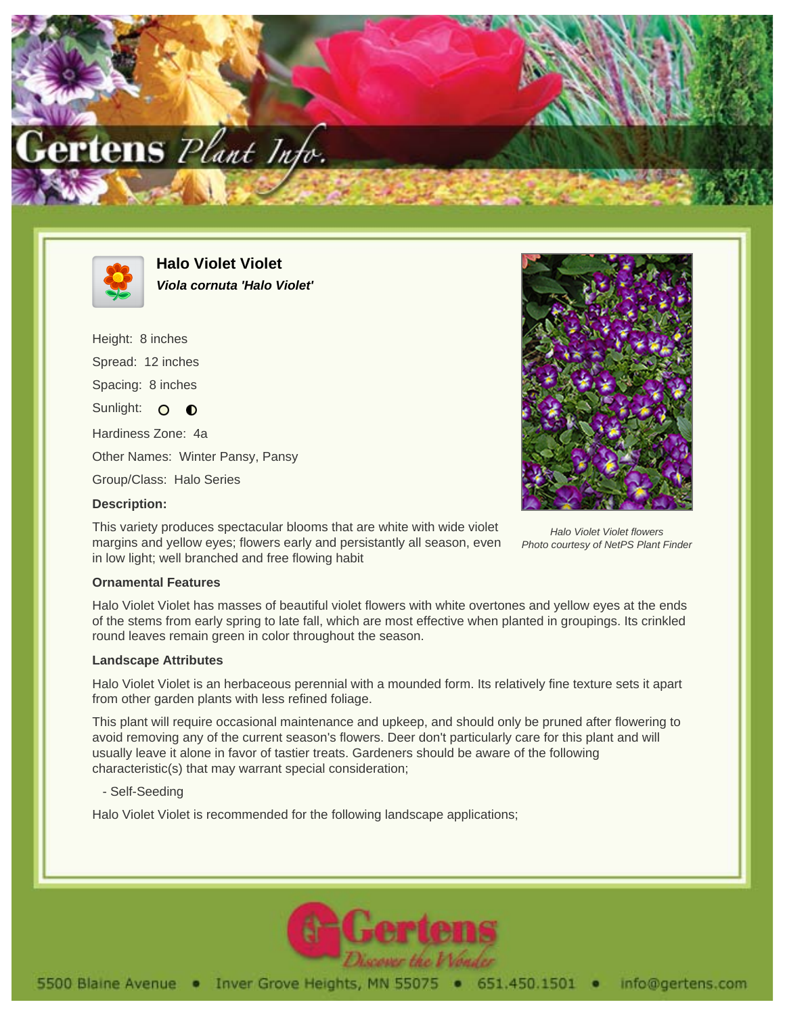



**Halo Violet Violet Viola cornuta 'Halo Violet'**

Height: 8 inches Spread: 12 inches Spacing: 8 inches Sunlight: O O Hardiness Zone: 4a Other Names: Winter Pansy, Pansy Group/Class: Halo Series **Description:**



Halo Violet Violet flowers Photo courtesy of NetPS Plant Finder

## This variety produces spectacular blooms that are white with wide violet margins and yellow eyes; flowers early and persistantly all season, even in low light; well branched and free flowing habit

## **Ornamental Features**

Halo Violet Violet has masses of beautiful violet flowers with white overtones and yellow eyes at the ends of the stems from early spring to late fall, which are most effective when planted in groupings. Its crinkled round leaves remain green in color throughout the season.

## **Landscape Attributes**

Halo Violet Violet is an herbaceous perennial with a mounded form. Its relatively fine texture sets it apart from other garden plants with less refined foliage.

This plant will require occasional maintenance and upkeep, and should only be pruned after flowering to avoid removing any of the current season's flowers. Deer don't particularly care for this plant and will usually leave it alone in favor of tastier treats. Gardeners should be aware of the following characteristic(s) that may warrant special consideration;

- Self-Seeding

Halo Violet Violet is recommended for the following landscape applications;